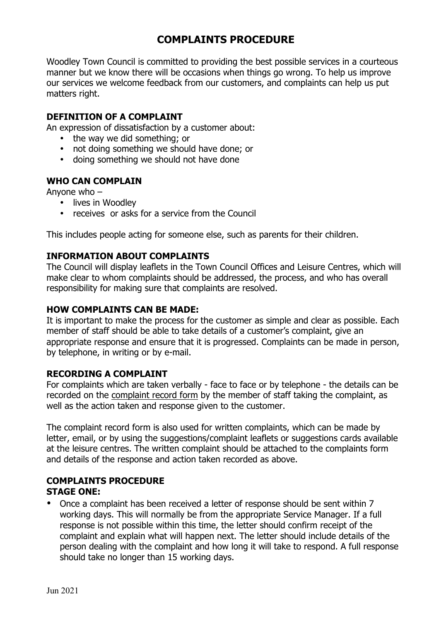# **COMPLAINTS PROCEDURE**

Woodley Town Council is committed to providing the best possible services in a courteous manner but we know there will be occasions when things go wrong. To help us improve our services we welcome feedback from our customers, and complaints can help us put matters right.

### **DEFINITION OF A COMPLAINT**

An expression of dissatisfaction by a customer about:

- the way we did something; or
- not doing something we should have done; or
- doing something we should not have done

### **WHO CAN COMPLAIN**

Anyone who –

- lives in Woodley
- receives or asks for a service from the Council

This includes people acting for someone else, such as parents for their children.

## **INFORMATION ABOUT COMPLAINTS**

The Council will display leaflets in the Town Council Offices and Leisure Centres, which will make clear to whom complaints should be addressed, the process, and who has overall responsibility for making sure that complaints are resolved.

### **HOW COMPLAINTS CAN BE MADE:**

It is important to make the process for the customer as simple and clear as possible. Each member of staff should be able to take details of a customer's complaint, give an appropriate response and ensure that it is progressed. Complaints can be made in person, by telephone, in writing or by e-mail.

### **RECORDING A COMPLAINT**

For complaints which are taken verbally - face to face or by telephone - the details can be recorded on the complaint record form by the member of staff taking the complaint, as well as the action taken and response given to the customer.

The complaint record form is also used for written complaints, which can be made by letter, email, or by using the suggestions/complaint leaflets or suggestions cards available at the leisure centres. The written complaint should be attached to the complaints form and details of the response and action taken recorded as above.

# **COMPLAINTS PROCEDURE**

# **STAGE ONE:**

• Once a complaint has been received a letter of response should be sent within 7 working days. This will normally be from the appropriate Service Manager. If a full response is not possible within this time, the letter should confirm receipt of the complaint and explain what will happen next. The letter should include details of the person dealing with the complaint and how long it will take to respond. A full response should take no longer than 15 working days.